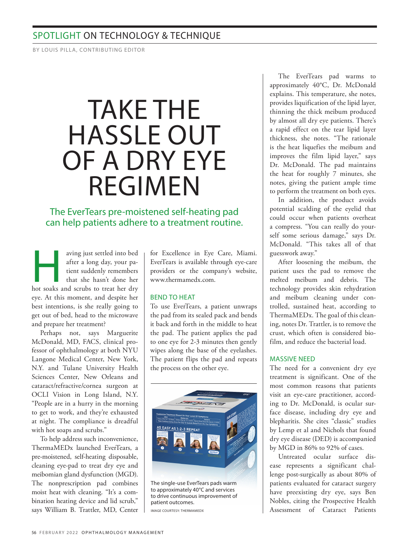# SPOTLIGHT ON TECHNOLOGY & TECHNIQUE

BY LOUIS PILLA, CONTRIBUTING EDITOR

# TAKE THE HASSLE OUT OF A DRY EYE REGIMEN

## The EverTears pre-moistened self-heating pad can help patients adhere to a treatment routine.

aving just settled into bed<br>after a long day, your pa-<br>tient suddenly remembers<br>that she hasn't done her<br>hot soaks and scrubs to treat her dry aving just settled into bed after a long day, your patient suddenly remembers that she hasn't done her eye. At this moment, and despite her best intentions, is she really going to get out of bed, head to the microwave and prepare her treatment?

Perhaps not, says Marguerite McDonald, MD, FACS, clinical professor of ophthalmology at both NYU Langone Medical Center, New York, N.Y. and Tulane University Health Sciences Center, New Orleans and cataract/refractive/cornea surgeon at OCLI Vision in Long Island, N.Y. "People are in a hurry in the morning to get to work, and they're exhausted at night. The compliance is dreadful with hot soaps and scrubs."

To help address such inconvenience, ThermaMEDx launched EverTears, a pre-moistened, self-heating disposable, cleaning eye-pad to treat dry eye and meibomian gland dysfunction (MGD). The nonprescription pad combines moist heat with cleaning. "It's a combination heating device and lid scrub," says William B. Trattler, MD, Center

for Excellence in Eye Care, Miami. EverTears is available through eye-care providers or the company's website, www.thermamedx.com.

## BEND TO HEAT

To use EverTears, a patient unwraps the pad from its sealed pack and bends it back and forth in the middle to heat the pad. The patient applies the pad to one eye for 2-3 minutes then gently wipes along the base of the eyelashes. The patient flips the pad and repeats the process on the other eye.



The single-use EverTears pads warm to approximately 40°C and services to drive continuous improvement of patient outcomes.

IMAGE COURTESY: THERMAMEDX

The EverTears pad warms to approximately 40°C, Dr. McDonald explains. This temperature, she notes, provides liquification of the lipid layer, thinning the thick meibum produced by almost all dry eye patients. There's a rapid effect on the tear lipid layer thickness, she notes. "The rationale is the heat liquefies the meibum and improves the film lipid layer," says Dr. McDonald. The pad maintains the heat for roughly 7 minutes, she notes, giving the patient ample time to perform the treatment on both eyes.

In addition, the product avoids potential scalding of the eyelid that could occur when patients overheat a compress. "You can really do yourself some serious damage," says Dr. McDonald. "This takes all of that guesswork away."

After loosening the meibum, the patient uses the pad to remove the melted meibum and debris. The technology provides skin rehydration and meibum cleaning under controlled, sustained heat, according to ThermaMEDx. The goal of this cleaning, notes Dr. Trattler, is to remove the crust, which often is considered biofilm, and reduce the bacterial load.

### MASSIVE NEED

The need for a convenient dry eye treatment is significant. One of the most common reasons that patients visit an eye-care practitioner, according to Dr. McDonald, is ocular surface disease, including dry eye and blepharitis. She cites "classic" studies by Lemp et al and Nichols that found dry eye disease (DED) is accompanied by MGD in 86% to 92% of cases.

Untreated ocular surface disease represents a significant challenge post-surgically as about 80% of patients evaluated for cataract surgery have preexisting dry eye, says Ben Nobles, citing the Prospective Health Assessment of Cataract Patients